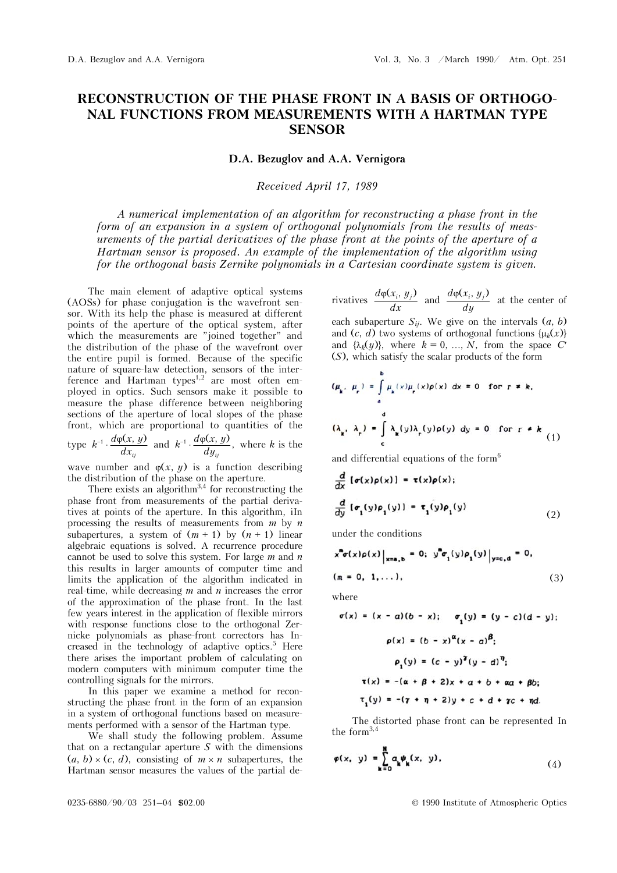## **RECONSTRUCTION OF THE PHASE FRONT IN A BASIS OF ORTHOGO-NAL FUNCTIONS FROM MEASUREMENTS WITH A HARTMAN TYPE SENSOR**

**D.A. Bezuglov and A.A. Vernigora** 

## *Received April 17, 1989*

*A numerical implementation of an algorithm for reconstructing a phase front in the form of an expansion in a system of orthogonal polynomials from the results of measurements of the partial derivatives of the phase front at the points of the aperture of a Hartman sensor is proposed. An example of the implementation of the algorithm using for the orthogonal basis Zernike polynomials in a Cartesian coordinate system is given.* 

The main element of adaptive optical systems (AOSs) for phase conjugation is the wavefront sensor. With its help the phase is measured at different points of the aperture of the optical system, after which the measurements are "joined together" and the distribution of the phase of the wavefront over the entire pupil is formed. Because of the specific nature of square-law detection, sensors of the interference and Hartman types<sup> $1,2$ </sup> are most often employed in optics. Such sensors make it possible to measure the phase difference between neighboring sections of the aperture of local slopes of the phase front, which are proportional to quantities of the type  $k^{-1} \cdot \frac{d\varphi(x, y)}{d\varphi(x, y)}$  $i^{d}$   $\frac{d\varphi(x, y)}{dx_{ij}}$  and  $k^{-1} \cdot \frac{d\varphi(x, y)}{dy_{ij}}$ , where *k* is the

wave number and  $\varphi(x, y)$  is a function describing the distribution of the phase on the aperture.

There exists an algorithm<sup>3,4</sup> for reconstructing the phase front from measurements of the partial derivatives at points of the aperture. In this algorithm, iIn processing the results of measurements from *m* by *n* subapertures, a system of  $(m + 1)$  by  $(n + 1)$  linear algebraic equations is solved. A recurrence procedure cannot be used to solve this system. For large *m* and *n* this results in larger amounts of computer time and limits the application of the algorithm indicated in real-time, while decreasing *m* and *n* increases the error of the approximation of the phase front. In the last few years interest in the application of flexible mirrors with response functions close to the orthogonal Zernicke polynomials as phase-front correctors has Increased in the technology of adaptive optics.<sup>5</sup> Here there arises the important problem of calculating on modern computers with minimum computer time the controlling signals for the mirrors.

In this paper we examine a method for reconstructing the phase front in the form of an expansion in a system of orthogonal functions based on measurements performed with a sensor of the Hartman type.

We shall study the following problem. Assume that on a rectangular aperture *S* with the dimensions  $(a, b) \times (c, d)$ , consisting of  $m \times n$  subapertures, the Hartman sensor measures the values of the partial de-

rivatives 
$$
\frac{d\varphi(x_i, y_j)}{dx}
$$
 and  $\frac{d\varphi(x_i, y_j)}{dy}$  at the center of

each subaperture  $S_{ij}$ . We give on the intervals  $(a, b)$ and  $(c, d)$  two systems of orthogonal functions  $\{\mu_k(x)\}$ and  $\{\lambda_k(y)\}\)$ , where  $k = 0, ..., N$ , from the space C' (*S*), which satisfy the scalar products of the form

$$
(\mu_{k}, \mu_{r}) = \int_{0}^{b} \mu_{k}(x) \mu_{r}(x) \rho(x) dx = 0 \text{ for } r \neq k,
$$
  
\n
$$
(\lambda_{k}, \lambda_{r}) = \int_{c}^{d} \lambda_{k}(y) \lambda_{r}(y) \rho(y) dy = 0 \text{ for } r \neq k
$$
\n(1)

and differential equations of the form<sup>6</sup>

$$
\frac{d}{dx} [\sigma(x)\rho(x)] = \tau(x)\rho(x);
$$
\n
$$
\frac{d}{dy} [\sigma_1(y)\rho_1(y)] = \tau_1(y)\rho_1(y)
$$
\n(2)

under the conditions

$$
\left.\begin{aligned}\nx^{\mathbf{m}}\sigma(x)\rho(x)\big|_{x=\mathbf{a},\,\mathbf{b}} &= 0; \quad y^{\mathbf{m}}\sigma_1(y)\rho_1(y)\big|_{y=\mathbf{c},\,\mathbf{d}} = 0, \\
(m = 0, 1, \ldots),\n\end{aligned}\right.
$$
\n
$$
(3)
$$

where

$$
\sigma(x) = (x - a)(b - x); \quad \sigma_1(y) = (y - c)(d - y);
$$

$$
\rho(x) = (b - x)^{\alpha}(x - a)^{\beta};
$$

$$
\rho_1(y) = (c - y)^{\gamma}(y - d)^{\eta};
$$

$$
\tau(x) = -(a + \beta + 2)x + a + b + \alpha a + \beta b;
$$

$$
\tau_1(y) = -(y + \eta + 2)y + c + d + \gamma c + \eta d.
$$

The distorted phase front can be represented In the form  $3,4$ 

$$
\varphi(x, y) = \sum_{k=0}^{N} a_k \psi_k(x, y), \qquad (4)
$$

0235-6880/90/03 251-04 \$02.00 © 1990 Institute of Atmospheric Optics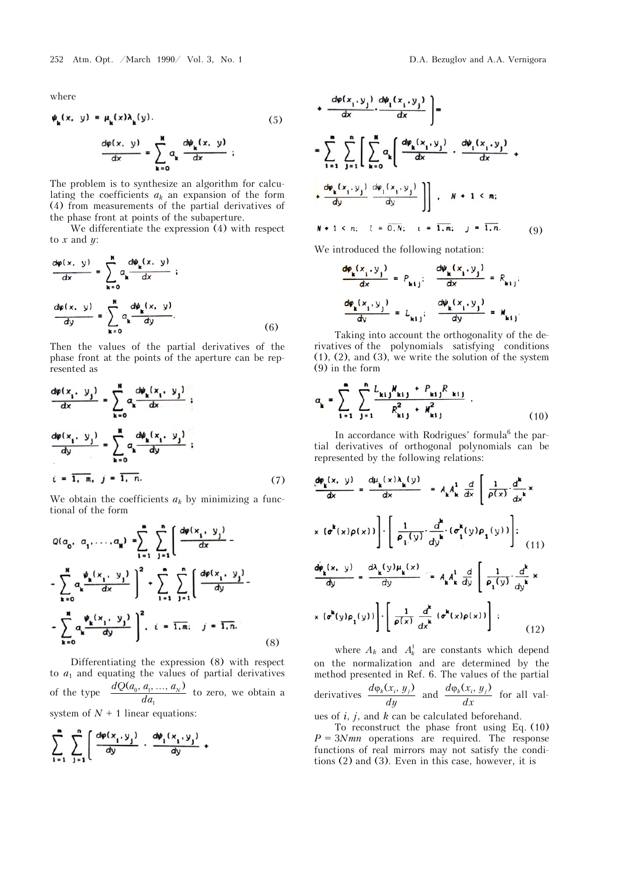where

$$
\psi_{k}(x, y) = \mu_{k}(x)\lambda_{k}(y).
$$
\n
$$
\frac{d\varphi(x, y)}{dx} = \sum_{k=0}^{N} a_{k} \frac{d\psi_{k}(x, y)}{dx} ;
$$
\n(5)

The problem is to synthesize an algorithm for calculating the coefficients  $a_k$  an expansion of the form (4) from measurements of the partial derivatives of the phase front at points of the subaperture.

We differentiate the expression (4) with respect to  $x$  and  $y$ :

$$
\frac{d\varphi(x, y)}{dx} = \sum_{k=0}^{N} a_k \frac{d\psi_k(x, y)}{dx} ;
$$

$$
\frac{d\varphi(x, y)}{dy} = \sum_{k=0}^{N} a_k \frac{d\psi_k(x, y)}{dy}.
$$
(6)

Then the values of the partial derivatives of the phase front at the points of the aperture can be represented as

$$
\frac{d\varphi(x_1, y_1)}{dx} = \sum_{k=0}^{N} a_k \frac{d\psi_k(x_1, y_1)}{dx} ;
$$

$$
\frac{d\varphi(x_1, y_1)}{dy} = \sum_{k=0}^{N} a_k \frac{d\psi_k(x_1, y_1)}{dy} ;
$$

$$
i = 1, m, j = 1, n.
$$
(7)

We obtain the coefficients  $a_k$  by minimizing a functional of the form

$$
Q(a_0, a_1, ..., a_N) = \sum_{i=1}^{m} \sum_{j=1}^{n} \left[ \frac{d\varphi(x_i, y_j)}{dx} - \sum_{k=0}^{N} a_k \frac{\psi_k(x_i, y_j)}{dx} \right]^2 + \sum_{i=1}^{m} \sum_{j=1}^{n} \left[ \frac{d\varphi(x_i, y_j)}{dy} - \sum_{k=0}^{N} a_k \frac{\psi_k(x_i, y_j)}{dy} \right]^2, \quad i = \overline{1, m}; \quad j = \overline{1, n}.
$$
 (8)

Differentiating the expression (8) with respect to  $a_1$  and equating the values of partial derivatives of the type  $\frac{dQ(a_0, a_1, ..., a_N)}{da_1}$  to zero, we obtain a  $da$ system of  $N + 1$  linear equations:

$$
\sum_{i=1}^n \sum_{j=1}^n \left[ \frac{d\varphi(x_i, y_j)}{dy} \cdot \frac{d\psi_1(x_i, y_j)}{dy} + \cdots \right]
$$

$$
\left[\frac{d\psi_1(x_1, y_1)}{dx}\right] =
$$

$$
= \sum_{i=1}^{n} \sum_{j=1}^{n} \left[ \sum_{k=0}^{M} a_k \left( \frac{d\varphi_k(x_i, y_j)}{dx} \cdot \frac{d\varphi_1(x_i, y_j)}{dx} + \frac{d\varphi_k(x_i, y_j)}{dy} \cdot \frac{d\varphi_1(x_i, y_j)}{dy} \right) \right] \cdot N + 1 \leq n;
$$
  

$$
N + 1 \leq n; \quad l = \overline{0, N}; \quad l = \overline{1, m}; \quad j = \overline{1, n}.
$$
 (9)

We introduced the following notation:

$$
\frac{d\varphi_{\mathbf{k}}(x_{i}, y_{j})}{dx} = P_{\mathbf{k}ij}; \quad \frac{d\psi_{\mathbf{k}}(x_{i}, y_{j})}{dx} = R_{\mathbf{k}ij};
$$

$$
\frac{d\varphi_{\mathbf{k}}(x_{i}, y_{j})}{dy} = L_{\mathbf{k}ij}; \quad \frac{d\psi_{\mathbf{k}}(x_{i}, y_{j})}{dy} = M_{\mathbf{k}ij}.
$$

Taking into account the orthogonality of the derivatives of the polynomials satisfying conditions (1), (2), and (3), we write the solution of the system (9) in the form

$$
a_{k} = \sum_{i=1}^{n} \sum_{j=1}^{n} \frac{L_{kij} N_{kij} + P_{kij} R_{kij}}{R_{kij}^{2} + M_{kij}^{2}}.
$$
 (10)

In accordance with Rodrigues' formula<sup>6</sup> the partial derivatives of orthogonal polynomials can be represented by the following relations:

$$
\frac{d\varphi_{\mathbf{k}}(x, y)}{dx} = \frac{d\mu_{\mathbf{k}}(x)\lambda_{\mathbf{k}}(y)}{dx} = A_{\mathbf{k}}A_{\mathbf{k}}^{1} \frac{d}{dx} \left[ \frac{1}{\rho(x)} \cdot \frac{d^{\mathbf{k}}}{dx^{\mathbf{k}}} x \right]
$$

$$
x (\sigma^{\mathbf{k}}(x)\rho(x)) \left[ \cdot \left[ \frac{1}{\rho_{1}(y)} \cdot \frac{d^{\mathbf{k}}}{dy^{\mathbf{k}}} \cdot (\sigma_{1}^{\mathbf{k}}(y)\rho_{1}(y)) \right] \right]
$$

$$
\frac{d\varphi_{\mathbf{k}}(x, y)}{dy} = \frac{d\lambda_{\mathbf{k}}(y)\mu_{\mathbf{k}}(x)}{dy} = A_{\mathbf{k}}A_{\mathbf{k}}^{1} \frac{d}{dy} \left[ \frac{1}{\rho_{1}(y)} \cdot \frac{d^{\mathbf{k}}}{dy^{\mathbf{k}}} x
$$

$$
x (\sigma^{\mathbf{k}}(y)\rho_{1}(y)) \right] \cdot \left[ \frac{1}{\rho(x)} \frac{d^{\mathbf{k}}}{dx^{\mathbf{k}}} (\sigma^{\mathbf{k}}(x)\rho(x)) \right] \cdot \tag{12}
$$

where  $A_k$  and  $A_k^1$  are constants which depend on the normalization and are determined by the method presented in Ref. 6. The values of the partial derivatives  $\frac{d\varphi_k(x_i, y_j)}{dy}$  and  $\frac{d\varphi_k(x_i, y_j)}{dx}$  for all values of *i*, *j*, and *k* can be calculated beforehand.

To reconstruct the phase front using Eq. (10)  $P = 3Nmn$  operations are required. The response functions of real mirrors may not satisfy the conditions (2) and (3). Even in this case, however, it is